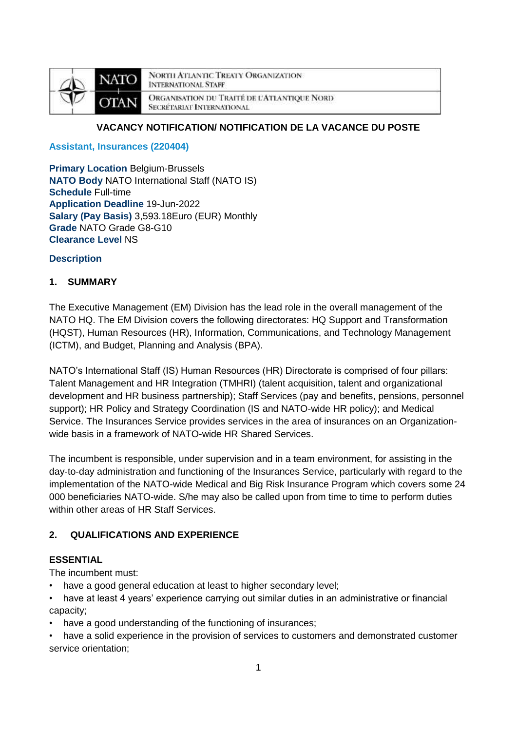

**NORTH ATLANTIC TREATY ORGANIZATION INTERNATIONAL STAFF** ORGANISATION DU TRAITÉ DE L'ATLANTIQUE NORD **SECRÉTARIAT INTERNATIONAL** 

# **VACANCY NOTIFICATION/ NOTIFICATION DE LA VACANCE DU POSTE**

**Assistant, Insurances (220404)**

**Primary Location Belgium-Brussels NATO Body** NATO International Staff (NATO IS) **Schedule** Full-time **Application Deadline** 19-Jun-2022 **Salary (Pay Basis)** 3,593.18Euro (EUR) Monthly **Grade** NATO Grade G8-G10 **Clearance Level** NS

### **Description**

### **1. SUMMARY**

The Executive Management (EM) Division has the lead role in the overall management of the NATO HQ. The EM Division covers the following directorates: HQ Support and Transformation (HQST), Human Resources (HR), Information, Communications, and Technology Management (ICTM), and Budget, Planning and Analysis (BPA).

NATO's International Staff (IS) Human Resources (HR) Directorate is comprised of four pillars: Talent Management and HR Integration (TMHRI) (talent acquisition, talent and organizational development and HR business partnership); Staff Services (pay and benefits, pensions, personnel support); HR Policy and Strategy Coordination (IS and NATO-wide HR policy); and Medical Service. The Insurances Service provides services in the area of insurances on an Organizationwide basis in a framework of NATO-wide HR Shared Services.

The incumbent is responsible, under supervision and in a team environment, for assisting in the day-to-day administration and functioning of the Insurances Service, particularly with regard to the implementation of the NATO-wide Medical and Big Risk Insurance Program which covers some 24 000 beneficiaries NATO-wide. S/he may also be called upon from time to time to perform duties within other areas of HR Staff Services.

# **2. QUALIFICATIONS AND EXPERIENCE**

# **ESSENTIAL**

The incumbent must:

- have a good general education at least to higher secondary level;
- have at least 4 years' experience carrying out similar duties in an administrative or financial capacity;
- have a good understanding of the functioning of insurances;

• have a solid experience in the provision of services to customers and demonstrated customer service orientation;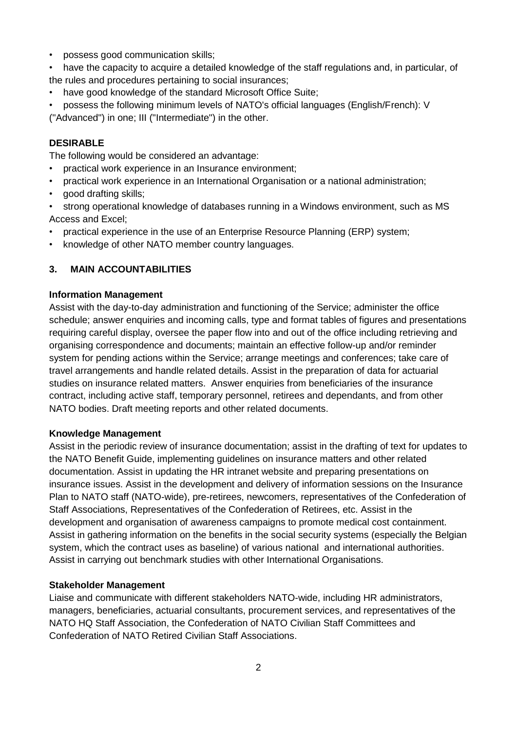- possess good communication skills;
- have the capacity to acquire a detailed knowledge of the staff regulations and, in particular, of the rules and procedures pertaining to social insurances;
- have good knowledge of the standard Microsoft Office Suite:
- possess the following minimum levels of NATO's official languages (English/French): V ("Advanced") in one; III ("Intermediate") in the other.

# **DESIRABLE**

The following would be considered an advantage:

- practical work experience in an Insurance environment;
- practical work experience in an International Organisation or a national administration;
- good drafting skills;
- strong operational knowledge of databases running in a Windows environment, such as MS Access and Excel;
- practical experience in the use of an Enterprise Resource Planning (ERP) system;
- knowledge of other NATO member country languages.

# **3. MAIN ACCOUNTABILITIES**

#### **Information Management**

Assist with the day-to-day administration and functioning of the Service; administer the office schedule; answer enquiries and incoming calls, type and format tables of figures and presentations requiring careful display, oversee the paper flow into and out of the office including retrieving and organising correspondence and documents; maintain an effective follow-up and/or reminder system for pending actions within the Service; arrange meetings and conferences; take care of travel arrangements and handle related details. Assist in the preparation of data for actuarial studies on insurance related matters. Answer enquiries from beneficiaries of the insurance contract, including active staff, temporary personnel, retirees and dependants, and from other NATO bodies. Draft meeting reports and other related documents.

#### **Knowledge Management**

Assist in the periodic review of insurance documentation; assist in the drafting of text for updates to the NATO Benefit Guide, implementing guidelines on insurance matters and other related documentation. Assist in updating the HR intranet website and preparing presentations on insurance issues. Assist in the development and delivery of information sessions on the Insurance Plan to NATO staff (NATO-wide), pre-retirees, newcomers, representatives of the Confederation of Staff Associations, Representatives of the Confederation of Retirees, etc. Assist in the development and organisation of awareness campaigns to promote medical cost containment. Assist in gathering information on the benefits in the social security systems (especially the Belgian system, which the contract uses as baseline) of various national and international authorities. Assist in carrying out benchmark studies with other International Organisations.

#### **Stakeholder Management**

Liaise and communicate with different stakeholders NATO-wide, including HR administrators, managers, beneficiaries, actuarial consultants, procurement services, and representatives of the NATO HQ Staff Association, the Confederation of NATO Civilian Staff Committees and Confederation of NATO Retired Civilian Staff Associations.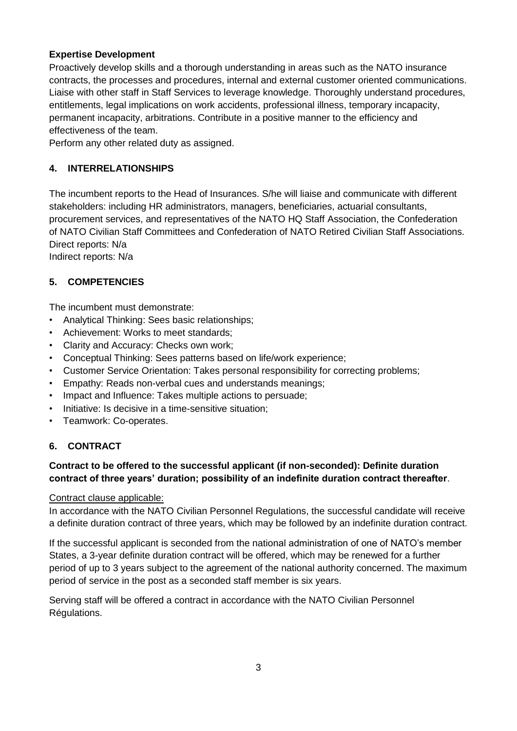## **Expertise Development**

Proactively develop skills and a thorough understanding in areas such as the NATO insurance contracts, the processes and procedures, internal and external customer oriented communications. Liaise with other staff in Staff Services to leverage knowledge. Thoroughly understand procedures, entitlements, legal implications on work accidents, professional illness, temporary incapacity, permanent incapacity, arbitrations. Contribute in a positive manner to the efficiency and effectiveness of the team.

Perform any other related duty as assigned.

# **4. INTERRELATIONSHIPS**

The incumbent reports to the Head of Insurances. S/he will liaise and communicate with different stakeholders: including HR administrators, managers, beneficiaries, actuarial consultants, procurement services, and representatives of the NATO HQ Staff Association, the Confederation of NATO Civilian Staff Committees and Confederation of NATO Retired Civilian Staff Associations. Direct reports: N/a

Indirect reports: N/a

### **5. COMPETENCIES**

The incumbent must demonstrate:

- Analytical Thinking: Sees basic relationships;
- Achievement: Works to meet standards;
- Clarity and Accuracy: Checks own work;
- Conceptual Thinking: Sees patterns based on life/work experience;
- Customer Service Orientation: Takes personal responsibility for correcting problems;
- Empathy: Reads non-verbal cues and understands meanings;
- Impact and Influence: Takes multiple actions to persuade;
- Initiative: Is decisive in a time-sensitive situation;
- Teamwork: Co-operates.

# **6. CONTRACT**

### **Contract to be offered to the successful applicant (if non-seconded): Definite duration contract of three years' duration; possibility of an indefinite duration contract thereafter**.

#### Contract clause applicable:

In accordance with the NATO Civilian Personnel Regulations, the successful candidate will receive a definite duration contract of three years, which may be followed by an indefinite duration contract.

If the successful applicant is seconded from the national administration of one of NATO's member States, a 3-year definite duration contract will be offered, which may be renewed for a further period of up to 3 years subject to the agreement of the national authority concerned. The maximum period of service in the post as a seconded staff member is six years.

Serving staff will be offered a contract in accordance with the NATO Civilian Personnel Régulations.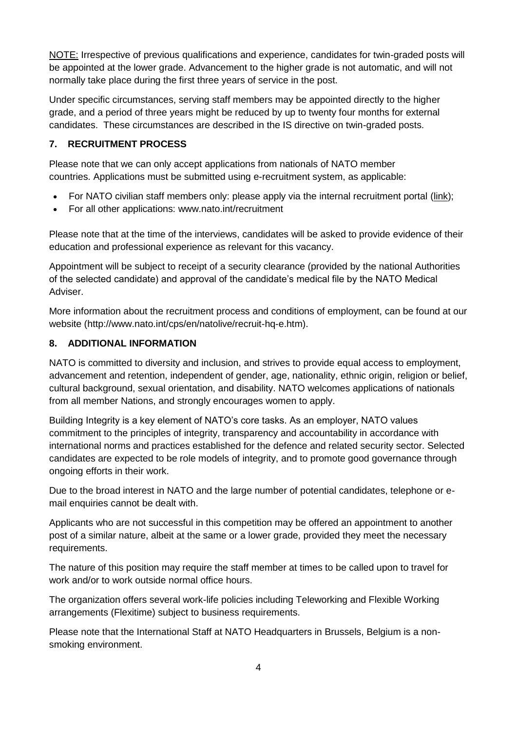NOTE: Irrespective of previous qualifications and experience, candidates for twin-graded posts will be appointed at the lower grade. Advancement to the higher grade is not automatic, and will not normally take place during the first three years of service in the post.

Under specific circumstances, serving staff members may be appointed directly to the higher grade, and a period of three years might be reduced by up to twenty four months for external candidates. These circumstances are described in the IS directive on twin-graded posts.

# **7. RECRUITMENT PROCESS**

Please note that we can only accept applications from nationals of NATO member countries. Applications must be submitted using e-recruitment system, as applicable:

- For NATO civilian staff members only: please apply via the internal recruitment portal [\(link\)](https://nato.taleo.net/careersection/1/jobsearch.ftl?lang=en);
- For all other applications: www.nato.int/recruitment

Please note that at the time of the interviews, candidates will be asked to provide evidence of their education and professional experience as relevant for this vacancy.

Appointment will be subject to receipt of a security clearance (provided by the national Authorities of the selected candidate) and approval of the candidate's medical file by the NATO Medical Adviser.

More information about the recruitment process and conditions of employment, can be found at our website (http://www.nato.int/cps/en/natolive/recruit-hq-e.htm).

# **8. ADDITIONAL INFORMATION**

NATO is committed to diversity and inclusion, and strives to provide equal access to employment, advancement and retention, independent of gender, age, nationality, ethnic origin, religion or belief, cultural background, sexual orientation, and disability. NATO welcomes applications of nationals from all member Nations, and strongly encourages women to apply.

Building Integrity is a key element of NATO's core tasks. As an employer, NATO values commitment to the principles of integrity, transparency and accountability in accordance with international norms and practices established for the defence and related security sector. Selected candidates are expected to be role models of integrity, and to promote good governance through ongoing efforts in their work.

Due to the broad interest in NATO and the large number of potential candidates, telephone or email enquiries cannot be dealt with.

Applicants who are not successful in this competition may be offered an appointment to another post of a similar nature, albeit at the same or a lower grade, provided they meet the necessary requirements.

The nature of this position may require the staff member at times to be called upon to travel for work and/or to work outside normal office hours.

The organization offers several work-life policies including Teleworking and Flexible Working arrangements (Flexitime) subject to business requirements.

Please note that the International Staff at NATO Headquarters in Brussels, Belgium is a nonsmoking environment.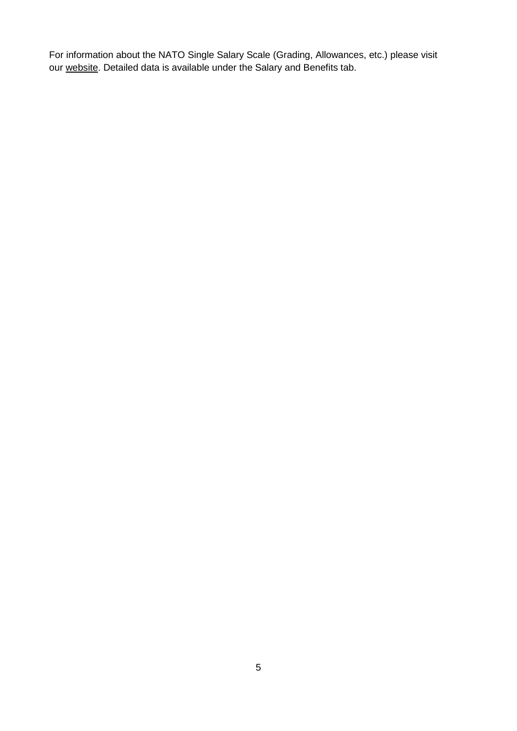For information about the NATO Single Salary Scale (Grading, Allowances, etc.) please visit our [website.](https://www.nato.int/cps/en/natolive/86790.htm) Detailed data is available under the Salary and Benefits tab.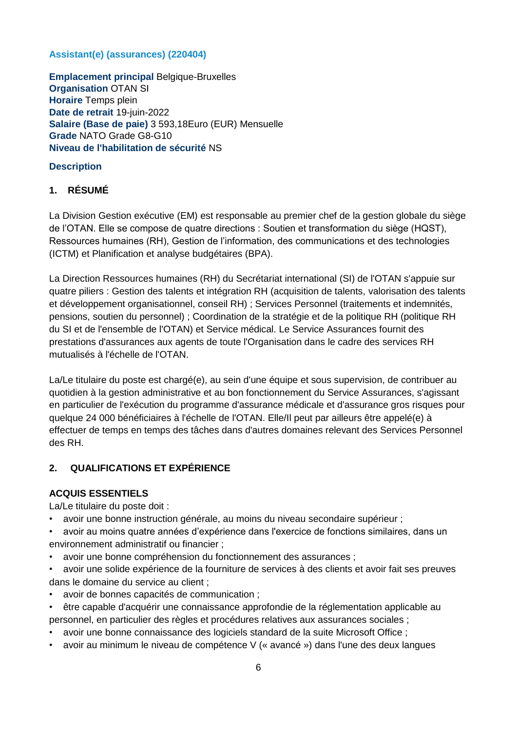# **Assistant(e) (assurances) (220404)**

**Emplacement principal** Belgique-Bruxelles **Organisation** OTAN SI **Horaire** Temps plein **Date de retrait** 19-juin-2022 **Salaire (Base de paie)** 3 593,18Euro (EUR) Mensuelle **Grade** NATO Grade G8-G10 **Niveau de l'habilitation de sécurité** NS

### **Description**

# **1. RÉSUMÉ**

La Division Gestion exécutive (EM) est responsable au premier chef de la gestion globale du siège de l'OTAN. Elle se compose de quatre directions : Soutien et transformation du siège (HQST), Ressources humaines (RH), Gestion de l'information, des communications et des technologies (ICTM) et Planification et analyse budgétaires (BPA).

La Direction Ressources humaines (RH) du Secrétariat international (SI) de l'OTAN s'appuie sur quatre piliers : Gestion des talents et intégration RH (acquisition de talents, valorisation des talents et développement organisationnel, conseil RH) ; Services Personnel (traitements et indemnités, pensions, soutien du personnel) ; Coordination de la stratégie et de la politique RH (politique RH du SI et de l'ensemble de l'OTAN) et Service médical. Le Service Assurances fournit des prestations d'assurances aux agents de toute l'Organisation dans le cadre des services RH mutualisés à l'échelle de l'OTAN.

La/Le titulaire du poste est chargé(e), au sein d'une équipe et sous supervision, de contribuer au quotidien à la gestion administrative et au bon fonctionnement du Service Assurances, s'agissant en particulier de l'exécution du programme d'assurance médicale et d'assurance gros risques pour quelque 24 000 bénéficiaires à l'échelle de l'OTAN. Elle/Il peut par ailleurs être appelé(e) à effectuer de temps en temps des tâches dans d'autres domaines relevant des Services Personnel des RH.

# **2. QUALIFICATIONS ET EXPÉRIENCE**

# **ACQUIS ESSENTIELS**

La/Le titulaire du poste doit :

- avoir une bonne instruction générale, au moins du niveau secondaire supérieur ;
- avoir au moins quatre années d'expérience dans l'exercice de fonctions similaires, dans un environnement administratif ou financier ;
- avoir une bonne compréhension du fonctionnement des assurances ;
- avoir une solide expérience de la fourniture de services à des clients et avoir fait ses preuves dans le domaine du service au client ;
- avoir de bonnes capacités de communication ;
- être capable d'acquérir une connaissance approfondie de la réglementation applicable au personnel, en particulier des règles et procédures relatives aux assurances sociales ;
- avoir une bonne connaissance des logiciels standard de la suite Microsoft Office ;
- avoir au minimum le niveau de compétence V (« avancé ») dans l'une des deux langues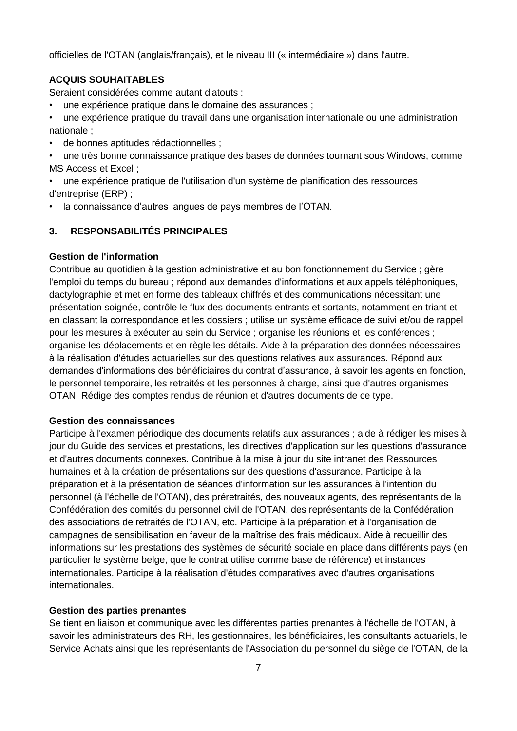officielles de l'OTAN (anglais/français), et le niveau III (« intermédiaire ») dans l'autre.

### **ACQUIS SOUHAITABLES**

Seraient considérées comme autant d'atouts :

• une expérience pratique dans le domaine des assurances ;

• une expérience pratique du travail dans une organisation internationale ou une administration nationale ;

- de bonnes aptitudes rédactionnelles ;
- une très bonne connaissance pratique des bases de données tournant sous Windows, comme MS Access et Excel ;
- une expérience pratique de l'utilisation d'un système de planification des ressources d'entreprise (ERP) ;
- la connaissance d'autres langues de pays membres de l'OTAN.

#### **3. RESPONSABILITÉS PRINCIPALES**

#### **Gestion de l'information**

Contribue au quotidien à la gestion administrative et au bon fonctionnement du Service ; gère l'emploi du temps du bureau ; répond aux demandes d'informations et aux appels téléphoniques, dactylographie et met en forme des tableaux chiffrés et des communications nécessitant une présentation soignée, contrôle le flux des documents entrants et sortants, notamment en triant et en classant la correspondance et les dossiers ; utilise un système efficace de suivi et/ou de rappel pour les mesures à exécuter au sein du Service ; organise les réunions et les conférences ; organise les déplacements et en règle les détails. Aide à la préparation des données nécessaires à la réalisation d'études actuarielles sur des questions relatives aux assurances. Répond aux demandes d'informations des bénéficiaires du contrat d'assurance, à savoir les agents en fonction, le personnel temporaire, les retraités et les personnes à charge, ainsi que d'autres organismes OTAN. Rédige des comptes rendus de réunion et d'autres documents de ce type.

#### **Gestion des connaissances**

Participe à l'examen périodique des documents relatifs aux assurances ; aide à rédiger les mises à jour du Guide des services et prestations, les directives d'application sur les questions d'assurance et d'autres documents connexes. Contribue à la mise à jour du site intranet des Ressources humaines et à la création de présentations sur des questions d'assurance. Participe à la préparation et à la présentation de séances d'information sur les assurances à l'intention du personnel (à l'échelle de l'OTAN), des préretraités, des nouveaux agents, des représentants de la Confédération des comités du personnel civil de l'OTAN, des représentants de la Confédération des associations de retraités de l'OTAN, etc. Participe à la préparation et à l'organisation de campagnes de sensibilisation en faveur de la maîtrise des frais médicaux. Aide à recueillir des informations sur les prestations des systèmes de sécurité sociale en place dans différents pays (en particulier le système belge, que le contrat utilise comme base de référence) et instances internationales. Participe à la réalisation d'études comparatives avec d'autres organisations internationales.

#### **Gestion des parties prenantes**

Se tient en liaison et communique avec les différentes parties prenantes à l'échelle de l'OTAN, à savoir les administrateurs des RH, les gestionnaires, les bénéficiaires, les consultants actuariels, le Service Achats ainsi que les représentants de l'Association du personnel du siège de l'OTAN, de la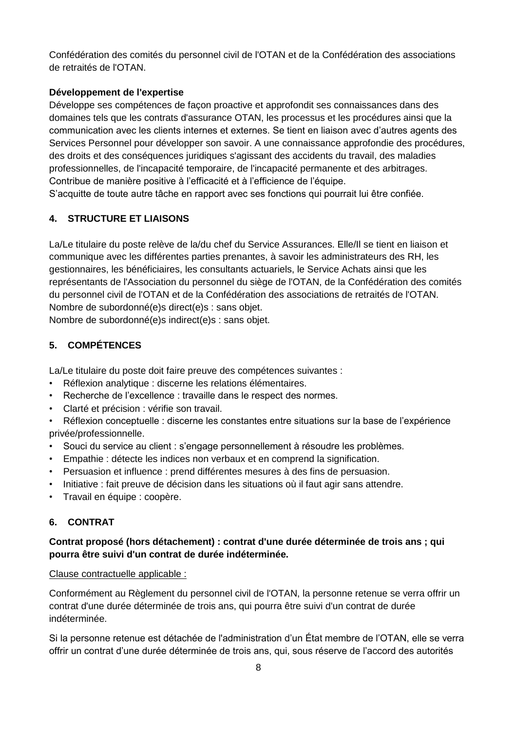Confédération des comités du personnel civil de l'OTAN et de la Confédération des associations de retraités de l'OTAN.

## **Développement de l'expertise**

Développe ses compétences de façon proactive et approfondit ses connaissances dans des domaines tels que les contrats d'assurance OTAN, les processus et les procédures ainsi que la communication avec les clients internes et externes. Se tient en liaison avec d'autres agents des Services Personnel pour développer son savoir. A une connaissance approfondie des procédures, des droits et des conséquences juridiques s'agissant des accidents du travail, des maladies professionnelles, de l'incapacité temporaire, de l'incapacité permanente et des arbitrages. Contribue de manière positive à l'efficacité et à l'efficience de l'équipe. S'acquitte de toute autre tâche en rapport avec ses fonctions qui pourrait lui être confiée.

# **4. STRUCTURE ET LIAISONS**

La/Le titulaire du poste relève de la/du chef du Service Assurances. Elle/Il se tient en liaison et communique avec les différentes parties prenantes, à savoir les administrateurs des RH, les gestionnaires, les bénéficiaires, les consultants actuariels, le Service Achats ainsi que les représentants de l'Association du personnel du siège de l'OTAN, de la Confédération des comités du personnel civil de l'OTAN et de la Confédération des associations de retraités de l'OTAN. Nombre de subordonné(e)s direct(e)s : sans objet.

Nombre de subordonné(e)s indirect(e)s : sans objet.

# **5. COMPÉTENCES**

La/Le titulaire du poste doit faire preuve des compétences suivantes :

- Réflexion analytique : discerne les relations élémentaires.
- Recherche de l'excellence : travaille dans le respect des normes.
- Clarté et précision : vérifie son travail.

• Réflexion conceptuelle : discerne les constantes entre situations sur la base de l'expérience privée/professionnelle.

- Souci du service au client : s'engage personnellement à résoudre les problèmes.
- Empathie : détecte les indices non verbaux et en comprend la signification.
- Persuasion et influence : prend différentes mesures à des fins de persuasion.
- Initiative : fait preuve de décision dans les situations où il faut agir sans attendre.
- Travail en équipe : coopère.

# **6. CONTRAT**

# **Contrat proposé (hors détachement) : contrat d'une durée déterminée de trois ans ; qui pourra être suivi d'un contrat de durée indéterminée.**

#### Clause contractuelle applicable :

Conformément au Règlement du personnel civil de l'OTAN, la personne retenue se verra offrir un contrat d'une durée déterminée de trois ans, qui pourra être suivi d'un contrat de durée indéterminée.

Si la personne retenue est détachée de l'administration d'un État membre de l'OTAN, elle se verra offrir un contrat d'une durée déterminée de trois ans, qui, sous réserve de l'accord des autorités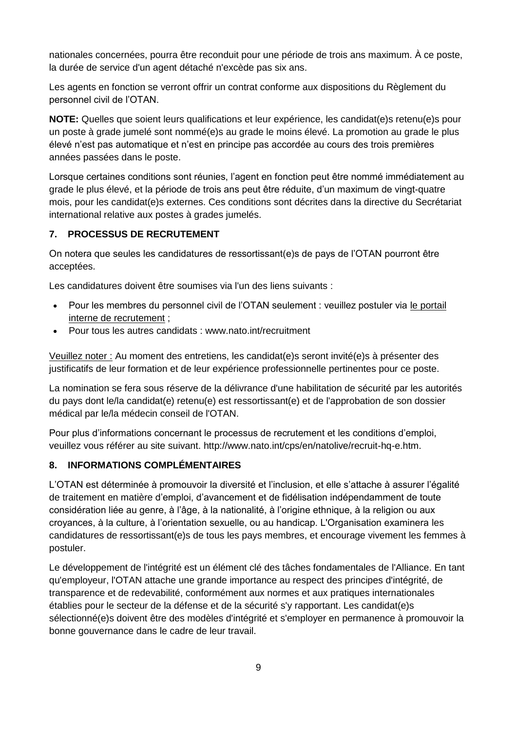nationales concernées, pourra être reconduit pour une période de trois ans maximum. À ce poste, la durée de service d'un agent détaché n'excède pas six ans.

Les agents en fonction se verront offrir un contrat conforme aux dispositions du Règlement du personnel civil de l'OTAN.

**NOTE:** Quelles que soient leurs qualifications et leur expérience, les candidat(e)s retenu(e)s pour un poste à grade jumelé sont nommé(e)s au grade le moins élevé. La promotion au grade le plus élevé n'est pas automatique et n'est en principe pas accordée au cours des trois premières années passées dans le poste.

Lorsque certaines conditions sont réunies, l'agent en fonction peut être nommé immédiatement au grade le plus élevé, et la période de trois ans peut être réduite, d'un maximum de vingt-quatre mois, pour les candidat(e)s externes. Ces conditions sont décrites dans la directive du Secrétariat international relative aux postes à grades jumelés.

# **7. PROCESSUS DE RECRUTEMENT**

On notera que seules les candidatures de ressortissant(e)s de pays de l'OTAN pourront être acceptées.

Les candidatures doivent être soumises via l'un des liens suivants :

- Pour les membres du personnel civil de l'OTAN seulement : veuillez postuler via [le portail](http://nato.taleo.net/careersection/1/jobsearch.ftl?lang=en)  [interne de recrutement](http://nato.taleo.net/careersection/1/jobsearch.ftl?lang=en) ;
- Pour tous les autres candidats : www.nato.int/recruitment

Veuillez noter : Au moment des entretiens, les candidat(e)s seront invité(e)s à présenter des justificatifs de leur formation et de leur expérience professionnelle pertinentes pour ce poste.

La nomination se fera sous réserve de la délivrance d'une habilitation de sécurité par les autorités du pays dont le/la candidat(e) retenu(e) est ressortissant(e) et de l'approbation de son dossier médical par le/la médecin conseil de l'OTAN.

Pour plus d'informations concernant le processus de recrutement et les conditions d'emploi, veuillez vous référer au site suivant. http://www.nato.int/cps/en/natolive/recruit-hq-e.htm.

# **8. INFORMATIONS COMPLÉMENTAIRES**

L'OTAN est déterminée à promouvoir la diversité et l'inclusion, et elle s'attache à assurer l'égalité de traitement en matière d'emploi, d'avancement et de fidélisation indépendamment de toute considération liée au genre, à l'âge, à la nationalité, à l'origine ethnique, à la religion ou aux croyances, à la culture, à l'orientation sexuelle, ou au handicap. L'Organisation examinera les candidatures de ressortissant(e)s de tous les pays membres, et encourage vivement les femmes à postuler.

Le développement de l'intégrité est un élément clé des tâches fondamentales de l'Alliance. En tant qu'employeur, l'OTAN attache une grande importance au respect des principes d'intégrité, de transparence et de redevabilité, conformément aux normes et aux pratiques internationales établies pour le secteur de la défense et de la sécurité s'y rapportant. Les candidat(e)s sélectionné(e)s doivent être des modèles d'intégrité et s'employer en permanence à promouvoir la bonne gouvernance dans le cadre de leur travail.